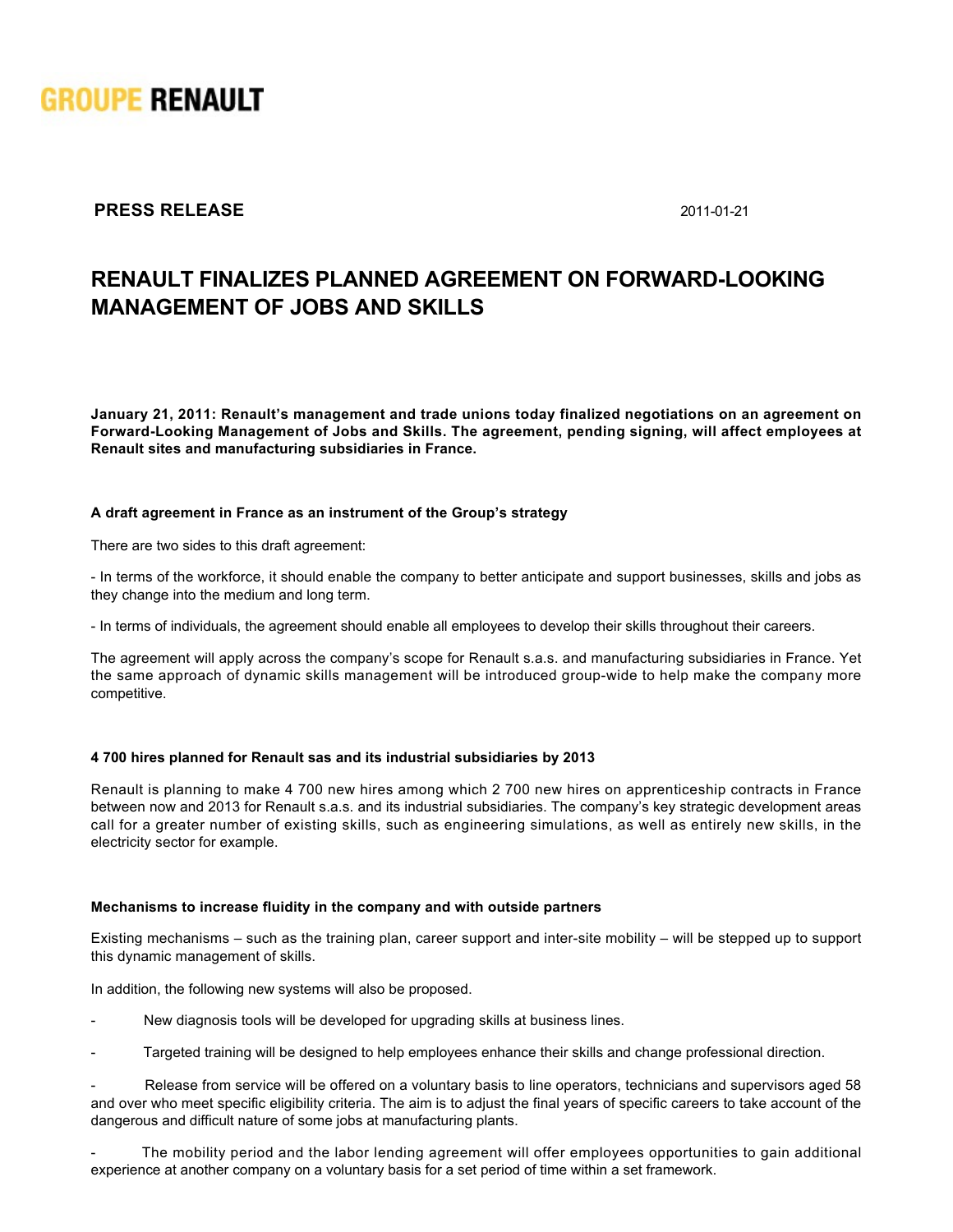

## **PRESS RELEASE** 2011-01-21

# **RENAULT FINALIZES PLANNED AGREEMENT ON FORWARDLOOKING MANAGEMENT OF JOBS AND SKILLS**

**January 21, 2011: Renault's management and trade unions today finalized negotiations on an agreement on ForwardLooking Management of Jobs and Skills. The agreement, pending signing, will affect employees at Renault sites and manufacturing subsidiaries in France.**

#### **A draft agreement in France as an instrument of the Group's strategy**

There are two sides to this draft agreement:

- In terms of the workforce, it should enable the company to better anticipate and support businesses, skills and jobs as they change into the medium and long term.

- In terms of individuals, the agreement should enable all employees to develop their skills throughout their careers.

The agreement will apply across the company's scope for Renault s.a.s. and manufacturing subsidiaries in France. Yet the same approach of dynamic skills management will be introduced group-wide to help make the company more competitive.

#### **4 700 hires planned for Renault sas and its industrial subsidiaries by 2013**

Renault is planning to make 4 700 new hires among which 2 700 new hires on apprenticeship contracts in France between now and 2013 for Renault s.a.s. and its industrial subsidiaries. The company's key strategic development areas call for a greater number of existing skills, such as engineering simulations, as well as entirely new skills, in the electricity sector for example.

#### **Mechanisms to increase fluidity in the company and with outside partners**

Existing mechanisms – such as the training plan, career support and intersite mobility – will be stepped up to support this dynamic management of skills.

In addition, the following new systems will also be proposed.

- New diagnosis tools will be developed for upgrading skills at business lines.
- Targeted training will be designed to help employees enhance their skills and change professional direction.

 Release from service will be offered on a voluntary basis to line operators, technicians and supervisors aged 58 and over who meet specific eligibility criteria. The aim is to adjust the final years of specific careers to take account of the dangerous and difficult nature of some jobs at manufacturing plants.

 The mobility period and the labor lending agreement will offer employees opportunities to gain additional experience at another company on a voluntary basis for a set period of time within a set framework.